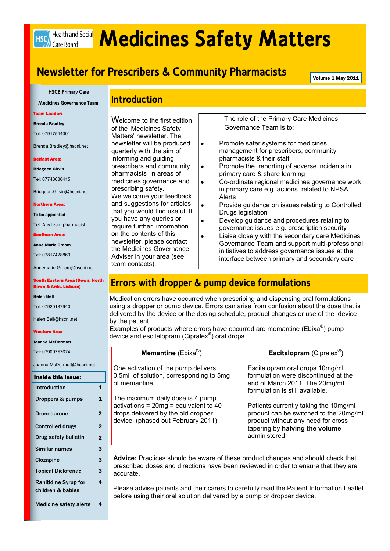# Hsc Health and Social **Medicines Safety Matters**

# **Newsletter for Prescribers & Community Pharmacists**

Volume 1 May 2011

**HSCB Primary Care**

**Medicines Governance Team:**

Team Leader:

Brenda Bradley

Tel: 07917544301

Brenda.Bradley@hscni.net

#### Belfast Area:

Briegeen Girvin

Tel: 07748630415

Briegeen.Girvin@hscni.net

#### Northern Area:

To be appointed

Tel: Any team pharmacist

Southern Area:

Anne Marie Groom

Tel: 07817428869

Annemarie.Groom@hscni.net

#### South Eastern Area (Down, North Down & Ards, Lisburn)

Helen Bell

Tel: 07920187940

Helen.Bell@hscni.net

#### Western Area

#### Joanne McDermott

Tel: 07909757674

Joanne.McDermott@hscni.net

| Inside this issue:            |   |
|-------------------------------|---|
| Introduction                  | 1 |
| Droppers & pumps              | 1 |
| <b>Dronedarone</b>            | 2 |
| <b>Controlled drugs</b>       | 2 |
| Drug safety bulletin          | 2 |
| Similar names                 | 3 |
| <b>Clozapine</b>              | 3 |
| <b>Topical Diclofenac</b>     | 3 |
| <b>Ranitidine Syrup for</b>   | 4 |
| children & babies             |   |
| <b>Medicine safety alerts</b> | 4 |

### **Introduction**

Welcome to the first edition of the 'Medicines Safety Matters' newsletter. The newsletter will be produced quarterly with the aim of informing and guiding prescribers and community pharmacists in areas of medicines governance and prescribing safety. We welcome your feedback and suggestions for articles that you would find useful. If you have any queries or require further information on the contents of this newsletter, please contact the Medicines Governance Adviser in your area (see team contacts).

The role of the Primary Care Medicines Governance Team is to:

- Promote safer systems for medicines  $\bullet$ management for prescribers, community pharmacists & their staff
- Promote the reporting of adverse incidents in  $\bullet$ primary care & share learning
- $\bullet$ Co-ordinate regional medicines governance work in primary care e.g. actions related to NPSA Alerts
- Provide guidance on issues relating to Controlled  $\bullet$ Drugs legislation
- Develop guidance and procedures relating to  $\bullet$ governance issues e.g. prescription security
- Liaise closely with the secondary care Medicines  $\overline{a}$ Governance Team and support multi-professional initiatives to address governance issues at the interface between primary and secondary care

# **Errors with dropper & pump device formulations**

Medication errors have occurred when prescribing and dispensing oral formulations using a dropper or pump device. Errors can arise from confusion about the dose that is delivered by the device or the dosing schedule, product changes or use of the device by the patient.

Examples of products where errors have occurred are memantine (Ebixa<sup>®</sup>) pump device and escitalopram (Cipralex® ) oral drops.

#### **Memantine** (Ebixa® )

One activation of the pump delivers 0.5ml of solution, corresponding to 5mg of memantine.

The maximum daily dose is 4 pump activations = 20mg = equivalent to 40 drops delivered by the old dropper device (phased out February 2011).

#### **Escitalopram** (Cipralex® )

Escitalopram oral drops 10mg/ml formulation were discontinued at the end of March 2011. The 20mg/ml formulation is still available.

Patients currently taking the 10mg/ml product can be switched to the 20mg/ml product without any need for cross tapering by **halving the volume**  administered.

**Advice:** Practices should be aware of these product changes and should check that prescribed doses and directions have been reviewed in order to ensure that they are accurate.

Please advise patients and their carers to carefully read the Patient Information Leaflet before using their oral solution delivered by a pump or dropper device.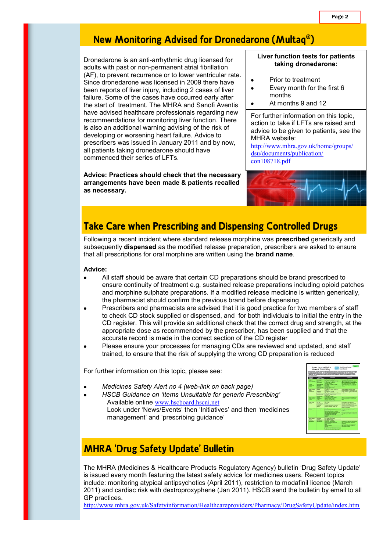# **New Monitoring Advised for Dronedarone (Multaq® )**

Dronedarone is an anti-arrhythmic drug licensed for adults with past or non-permanent atrial fibrillation (AF), to prevent recurrence or to lower ventricular rate. Since dronedarone was licensed in 2009 there have been reports of liver injury, including 2 cases of liver failure. Some of the cases have occurred early after the start of treatment. The MHRA and Sanofi Aventis have advised healthcare professionals regarding new recommendations for monitoring liver function. There is also an additional warning advising of the risk of developing or worsening heart failure. Advice to prescribers was issued in January 2011 and by now, all patients taking dronedarone should have commenced their series of LFTs.

**Advice: Practices should check that the necessary arrangements have been made & patients recalled as necessary.**

#### **Liver function tests for patients taking dronedarone:**

Prior to treatment

 $\bullet$ 

- Every month for the first 6 months
- At months 9 and 12  $\bullet$

For further information on this topic, action to take if LFTs are raised and advice to be given to patients, see the MHRA website:

http://www.mhra.gov.uk/home/groups/ dsu/documents/publication/ con108718.pdf



# **Take Care when Prescribing and Dispensing Controlled Drugs**

Following a recent incident where standard release morphine was **prescribed** generically and subsequently **dispensed** as the modified release preparation, prescribers are asked to ensure that all prescriptions for oral morphine are written using the **brand name**.

#### **Advice:**

- All staff should be aware that certain CD preparations should be brand prescribed to ensure continuity of treatment e.g. sustained release preparations including opioid patches and morphine sulphate preparations. If a modified release medicine is written generically, the pharmacist should confirm the previous brand before dispensing
- Prescribers and pharmacists are advised that it is good practice for two members of staff to check CD stock supplied or dispensed, and for both individuals to initial the entry in the CD register. This will provide an additional check that the correct drug and strength, at the appropriate dose as recommended by the prescriber, has been supplied and that the accurate record is made in the correct section of the CD register
- Please ensure your processes for managing CDs are reviewed and updated, and staff  $\bullet$ trained, to ensure that the risk of supplying the wrong CD preparation is reduced

For further information on this topic, please see:

- *Medicines Safety Alert no 4 (web-link on back page)*
- *HSCB Guidance on 'Items Unsuitable for generic Prescribing'* Available online www.hscboard.hscni.net Look under 'News/Events' then 'Initiatives' and then 'medicines management' and 'prescribing guidance'



# **MHRA 'Drug Safety Update' Bulletin**

The MHRA (Medicines & Healthcare Products Regulatory Agency) bulletin 'Drug Safety Update' is issued every month featuring the latest safety advice for medicines users. Recent topics include: monitoring atypical antipsychotics (April 2011), restriction to modafinil licence (March 2011) and cardiac risk with dextroproxyphene (Jan 2011). HSCB send the bulletin by email to all GP practices.

http://www.mhra.gov.uk/Safetyinformation/Healthcareproviders/Pharmacy/DrugSafetyUpdate/index.htm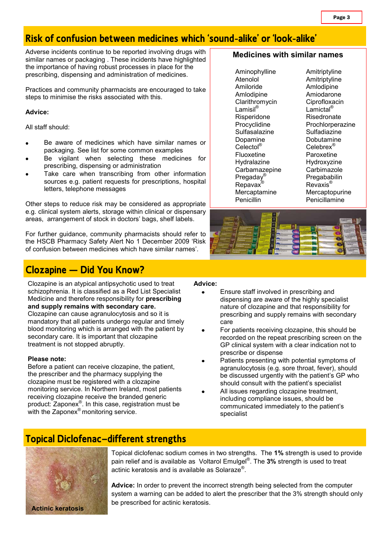# **Risk of confusion between medicines which 'sound-alike' or 'look-alike'**

Adverse incidents continue to be reported involving drugs with similar names or packaging . These incidents have highlighted the importance of having robust processes in place for the prescribing, dispensing and administration of medicines.

Practices and community pharmacists are encouraged to take steps to minimise the risks associated with this.

#### **Advice:**

All staff should:

- Be aware of medicines which have similar names or packaging. See list for some common examples
- Be vigilant when selecting these medicines for prescribing, dispensing or administration
- Take care when transcribing from other information sources e.g. patient requests for prescriptions, hospital letters, telephone messages

Other steps to reduce risk may be considered as appropriate e.g. clinical system alerts, storage within clinical or dispensary areas, arrangement of stock in doctors' bags, shelf labels.

For further guidance, community pharmacists should refer to the HSCB Pharmacy Safety Alert No 1 December 2009 'Risk of confusion between medicines which have similar names'.

# **Clozapine – Did You Know?**

treatment is not stopped abruptly.

Clozapine is an atypical antipsychotic used to treat schizophrenia. It is classified as a Red List Specialist Medicine and therefore responsibility for **prescribing and supply remains with secondary care.** Clozapine can cause agranulocytosis and so it is mandatory that all patients undergo regular and timely blood monitoring which is arranged with the patient by secondary care. It is important that clozapine

#### **Please note:**

Before a patient can receive clozapine, the patient, the prescriber and the pharmacy supplying the clozapine must be registered with a clozapine monitoring service. In Northern Ireland, most patients receiving clozapine receive the branded generic product: Zaponex® . In this case, registration must be with the Zaponex<sup>®</sup> monitoring service.

#### **Advice:**

- Ensure staff involved in prescribing and dispensing are aware of the highly specialist nature of clozapine and that responsibility for prescribing and supply remains with secondary care
- For patients receiving clozapine, this should be recorded on the repeat prescribing screen on the GP clinical system with a clear indication not to prescribe or dispense
- Patients presenting with potential symptoms of agranulocytosis (e.g. sore throat, fever), should be discussed urgently with the patient's GP who should consult with the patient's specialist
- All issues regarding clozapine treatment. including compliance issues, should be communicated immediately to the patient's specialist

## **Topical Diclofenac—different strengths**



Topical diclofenac sodium comes in two strengths. The **1%** strength is used to provide pain relief and is available as Voltarol Emulgel® . The **3%** strength is used to treat actinic keratosis and is available as Solaraze®.

**Advice:** In order to prevent the incorrect strength being selected from the computer system a warning can be added to alert the prescriber that the 3% strength should only be prescribed for actinic keratosis.

#### **Medicines with similar names**

Aminophylline Amitriptyline Atenolol Amitriptyline Amiloride Amlodipine Amlodipine Amiodarone Clarithromycin Ciprofloxacin<br>Lamisil<sup>®</sup> Lamictal<sup>®</sup> Risperidone Risedronate Sulfasalazine Sulfadiazine Dopamine Dobutamine Celectol<sup>®</sup> Celebrex<sup>®</sup> Fluoxetine Paroxetine Hydralazine Hydroxyzine<br>Carbamazepine Carbimazole Carbamazepine Pregaday<sup>®</sup> Pregababilin<br>Repayax<sup>®</sup> Revaxis<sup>®</sup>  $Re$ pavax $^{\circ}$ 

Lamictal<sup>®</sup> Procyclidine Prochlorperazine Mercaptamine Mercaptopurine<br>
Penicillin Penicillamine Penicillamine